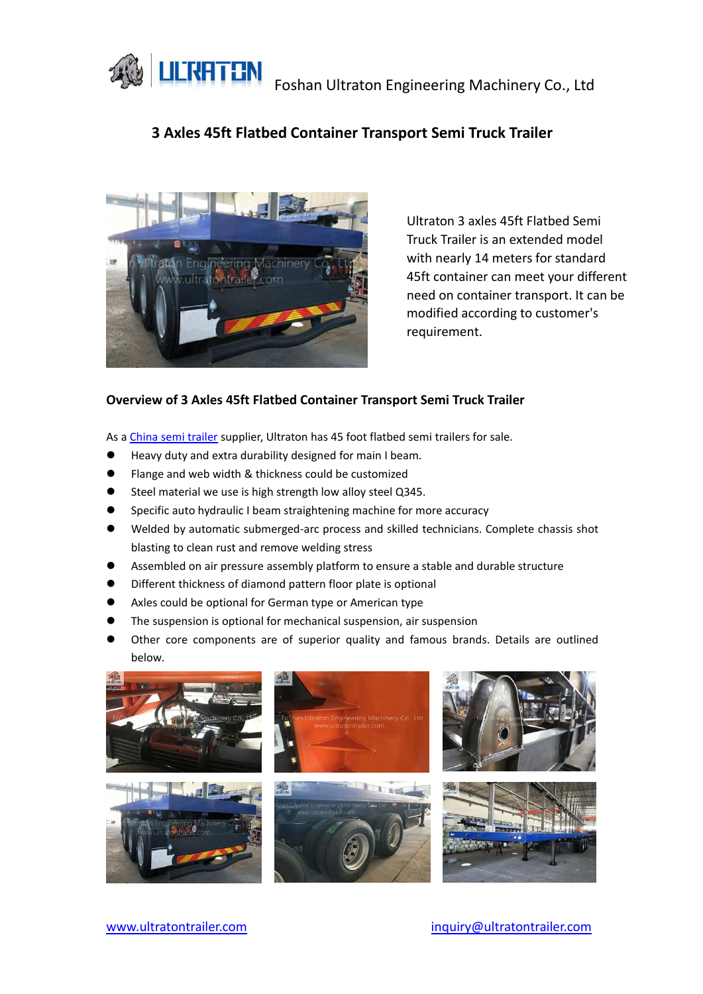**LILTHT TIN**<br>Foshan Ultraton Engineering Machinery Co., Ltd



# **3 Axles 45ft Flatbed Container Transport Semi Truck Trailer**



Ultraton 3 axles 45ft Flatbed Semi Truck Trailer is an extended model with nearly 14 meters for standard 45ft container can meet your different need on container transport. It can be modified according to customer's requirement.

### **Overview of 3 Axles 45ft Flatbed Container Transport Semi Truck Trailer**

As a China semi [trailer](https://www.ultratontrailer.com/) supplier, Ultraton has 45 foot flatbed semi trailers for sale.

- Heavy duty and extra durability designed for main I beam.
- Flange and web width & thickness could be customized
- Steel material we use is high strength low alloy steel Q345.
- Specific auto hydraulic I beam straightening machine for more accuracy
- Welded by automatic submerged-arc process and skilled technicians. Complete chassis shot blasting to clean rust and remove welding stress
- Assembled on air pressure assembly platform to ensure a stable and durable structure
- Different thickness of diamond pattern floor plate is optional
- Axles could be optional for German type or American type
- The suspension is optional for mechanical suspension, air suspension
- Other core components are of superior quality and famous brands. Details are outlined below.

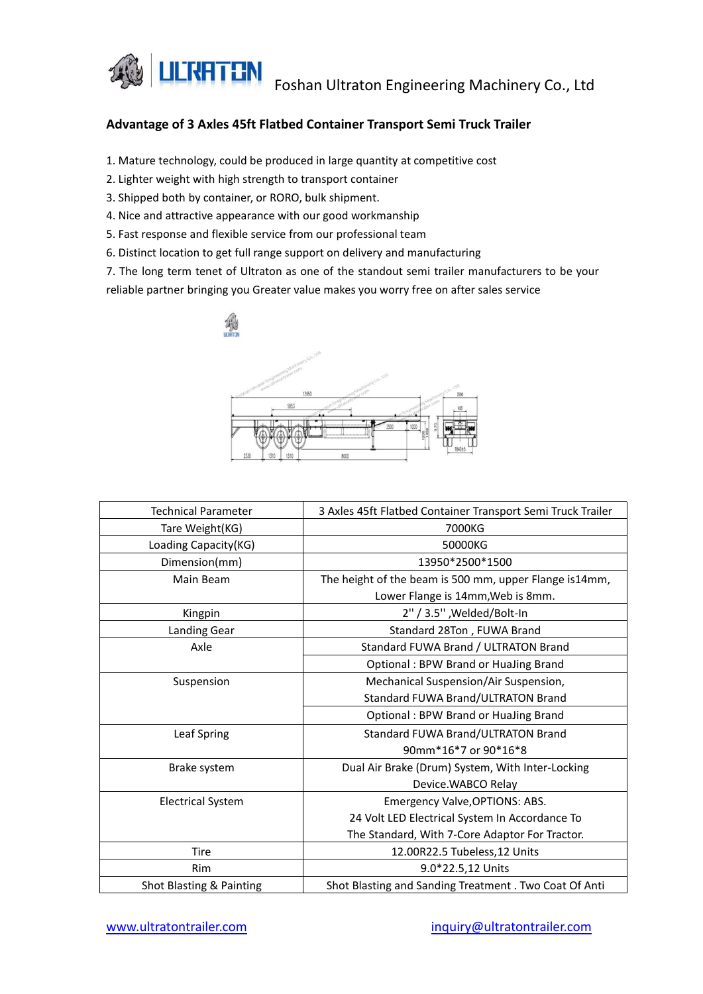

## **Advantage of 3 Axles 45ft Flatbed Container Transport Semi Truck Trailer**

- 1. Mature technology, could be produced in large quantity at competitive cost
- 2. Lighter weight with high strength to transport container
- 3. Shipped both by container, or RORO, bulk shipment.
- 4. Nice and attractive appearance with our good workmanship
- 5. Fast response and flexible service from our professional team
- 6. Distinct location to get full range support on delivery and manufacturing

7. The long term tenet of Ultraton as one of the standout semi trailer manufacturers to be your reliable partner bringing you Greater value makes you worry free on after sales service



| <b>Technical Parameter</b> | 3 Axles 45ft Flatbed Container Transport Semi Truck Trailer |
|----------------------------|-------------------------------------------------------------|
| Tare Weight(KG)            | 7000KG                                                      |
| Loading Capacity(KG)       | 50000KG                                                     |
| Dimension(mm)              | 13950*2500*1500                                             |
| Main Beam                  | The height of the beam is 500 mm, upper Flange is14mm,      |
|                            | Lower Flange is 14mm, Web is 8mm.                           |
| Kingpin                    | 2" / 3.5", Welded/Bolt-In                                   |
| Landing Gear               | Standard 28Ton, FUWA Brand                                  |
| Axle                       | Standard FUWA Brand / ULTRATON Brand                        |
|                            | Optional: BPW Brand or HuaJing Brand                        |
| Suspension                 | Mechanical Suspension/Air Suspension,                       |
|                            | Standard FUWA Brand/ULTRATON Brand                          |
|                            | Optional: BPW Brand or HuaJing Brand                        |
| Leaf Spring                | Standard FUWA Brand/ULTRATON Brand                          |
|                            | 90mm*16*7 or 90*16*8                                        |
| Brake system               | Dual Air Brake (Drum) System, With Inter-Locking            |
|                            | Device.WABCO Relay                                          |
| <b>Electrical System</b>   | Emergency Valve, OPTIONS: ABS.                              |
|                            | 24 Volt LED Electrical System In Accordance To              |
|                            | The Standard, With 7-Core Adaptor For Tractor.              |
| Tire                       | 12.00R22.5 Tubeless, 12 Units                               |
| <b>Rim</b>                 | 9.0*22.5,12 Units                                           |
| Shot Blasting & Painting   | Shot Blasting and Sanding Treatment . Two Coat Of Anti      |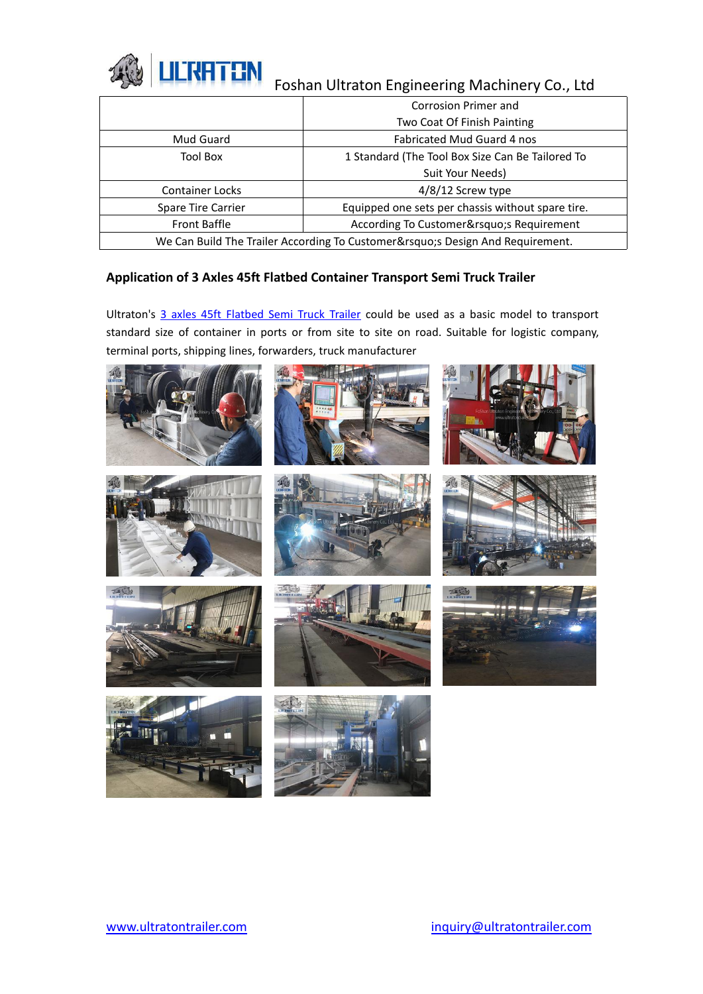

|                                                                          | Corrosion Primer and                              |  |
|--------------------------------------------------------------------------|---------------------------------------------------|--|
|                                                                          | Two Coat Of Finish Painting                       |  |
| Mud Guard                                                                | Fabricated Mud Guard 4 nos                        |  |
| <b>Tool Box</b>                                                          | 1 Standard (The Tool Box Size Can Be Tailored To  |  |
|                                                                          | Suit Your Needs)                                  |  |
| Container Locks                                                          | 4/8/12 Screw type                                 |  |
| Spare Tire Carrier                                                       | Equipped one sets per chassis without spare tire. |  |
| Front Baffle                                                             | According To Customer's Requirement               |  |
| We Can Build The Trailer According To Customer's Design And Requirement. |                                                   |  |
|                                                                          |                                                   |  |

### **Application of 3 Axles 45ft Flatbed Container Transport Semi Truck Trailer**

Ultraton's 3 axles 45ft [Flatbed](https://www.ultratontrailer.com/semi-trailer/3-axles-45ft-flatbed-semi-truck-trailer/) Semi Truck Trailer could be used as a basic model to transport standard size of container in ports or from site to site on road. Suitable for logistic company, terminal ports, shipping lines, forwarders, truck manufacturer